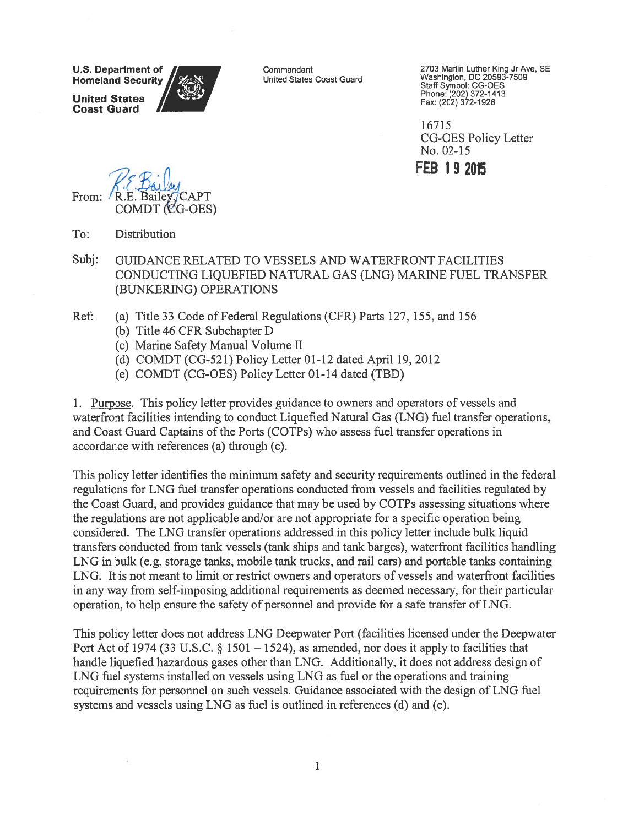**U.S. Department of Homeland Security** 

**United States Coast Guard** 

Commandant United States Coast Guard 2703 Martin Luther King Jr Ave, SE Washington, DC 20593-7509 Staff Symbol: CG-OES Phone: (202) 372-1413 Fax: (202) 372-1926

16715 **CG-OES Policy Letter** No. 02-15

**FEB 19 2015** 

From:  $\mathsf{C}\mathsf{A}\mathsf{P}\mathsf{T}$ COMDT (CG-OES)

To: **Distribution** 

-75

- Subi: GUIDANCE RELATED TO VESSELS AND WATERFRONT FACILITIES CONDUCTING LIQUEFIED NATURAL GAS (LNG) MARINE FUEL TRANSFER (BUNKERING) OPERATIONS
- Ref: (a) Title 33 Code of Federal Regulations (CFR) Parts 127, 155, and 156
	- (b) Title 46 CFR Subchapter D
	- (c) Marine Safety Manual Volume II
	- (d) COMDT (CG-521) Policy Letter 01-12 dated April 19, 2012
	- (e) COMDT (CG-OES) Policy Letter 01-14 dated (TBD)

1. Purpose. This policy letter provides guidance to owners and operators of vessels and waterfront facilities intending to conduct Liquefied Natural Gas (LNG) fuel transfer operations, and Coast Guard Captains of the Ports (COTPs) who assess fuel transfer operations in accordance with references (a) through (c).

This policy letter identifies the minimum safety and security requirements outlined in the federal regulations for LNG fuel transfer operations conducted from vessels and facilities regulated by the Coast Guard, and provides guidance that may be used by COTPs assessing situations where the regulations are not applicable and/or are not appropriate for a specific operation being considered. The LNG transfer operations addressed in this policy letter include bulk liquid transfers conducted from tank vessels (tank ships and tank barges), waterfront facilities handling LNG in bulk (e.g. storage tanks, mobile tank trucks, and rail cars) and portable tanks containing LNG. It is not meant to limit or restrict owners and operators of vessels and waterfront facilities in any way from self-imposing additional requirements as deemed necessary, for their particular operation, to help ensure the safety of personnel and provide for a safe transfer of LNG.

This policy letter does not address LNG Deepwater Port (facilities licensed under the Deepwater Port Act of 1974 (33 U.S.C.  $\S 1501 - 1524$ ), as amended, nor does it apply to facilities that handle liquefied hazardous gases other than LNG. Additionally, it does not address design of LNG fuel systems installed on vessels using LNG as fuel or the operations and training requirements for personnel on such vessels. Guidance associated with the design of LNG fuel systems and vessels using LNG as fuel is outlined in references (d) and (e).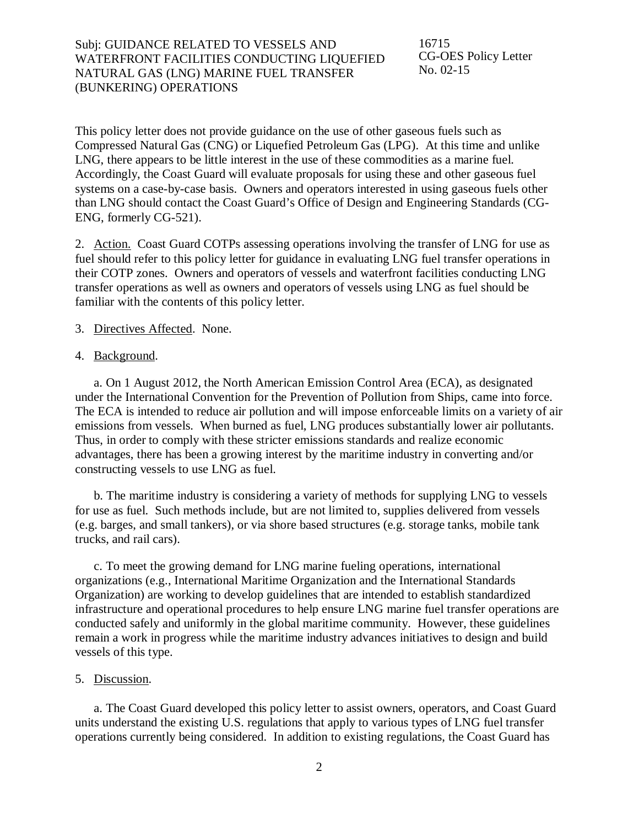Subj: GUIDANCE RELATED TO VESSELS AND WATERFRONT FACILITIES CONDUCTING LIQUEFIED NATURAL GAS (LNG) MARINE FUEL TRANSFER (BUNKERING) OPERATIONS

16715 CG-OES Policy Letter No. 02-15

This policy letter does not provide guidance on the use of other gaseous fuels such as Compressed Natural Gas (CNG) or Liquefied Petroleum Gas (LPG). At this time and unlike LNG, there appears to be little interest in the use of these commodities as a marine fuel. Accordingly, the Coast Guard will evaluate proposals for using these and other gaseous fuel systems on a case-by-case basis. Owners and operators interested in using gaseous fuels other than LNG should contact the Coast Guard's Office of Design and Engineering Standards (CG-ENG, formerly CG-521).

2. Action. Coast Guard COTPs assessing operations involving the transfer of LNG for use as fuel should refer to this policy letter for guidance in evaluating LNG fuel transfer operations in their COTP zones. Owners and operators of vessels and waterfront facilities conducting LNG transfer operations as well as owners and operators of vessels using LNG as fuel should be familiar with the contents of this policy letter.

#### 3. Directives Affected. None.

#### 4. Background.

a. On 1 August 2012, the North American Emission Control Area (ECA), as designated under the International Convention for the Prevention of Pollution from Ships, came into force. The ECA is intended to reduce air pollution and will impose enforceable limits on a variety of air emissions from vessels. When burned as fuel, LNG produces substantially lower air pollutants. Thus, in order to comply with these stricter emissions standards and realize economic advantages, there has been a growing interest by the maritime industry in converting and/or constructing vessels to use LNG as fuel.

b. The maritime industry is considering a variety of methods for supplying LNG to vessels for use as fuel. Such methods include, but are not limited to, supplies delivered from vessels (e.g. barges, and small tankers), or via shore based structures (e.g. storage tanks, mobile tank trucks, and rail cars).

c. To meet the growing demand for LNG marine fueling operations, international organizations (e.g., International Maritime Organization and the International Standards Organization) are working to develop guidelines that are intended to establish standardized infrastructure and operational procedures to help ensure LNG marine fuel transfer operations are conducted safely and uniformly in the global maritime community. However, these guidelines remain a work in progress while the maritime industry advances initiatives to design and build vessels of this type.

#### 5. Discussion.

a. The Coast Guard developed this policy letter to assist owners, operators, and Coast Guard units understand the existing U.S. regulations that apply to various types of LNG fuel transfer operations currently being considered. In addition to existing regulations, the Coast Guard has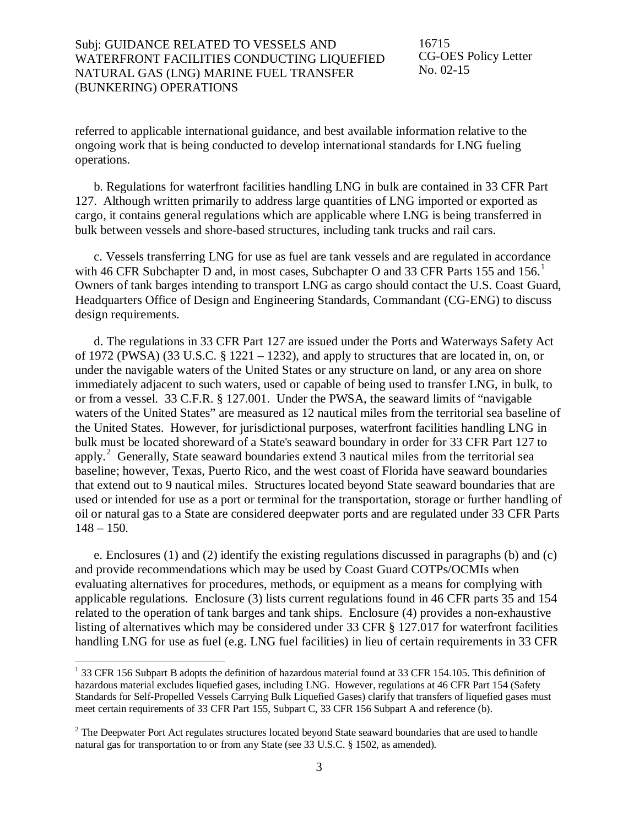16715 CG-OES Policy Letter No. 02-15

referred to applicable international guidance, and best available information relative to the ongoing work that is being conducted to develop international standards for LNG fueling operations.

b. Regulations for waterfront facilities handling LNG in bulk are contained in 33 CFR Part 127. Although written primarily to address large quantities of LNG imported or exported as cargo, it contains general regulations which are applicable where LNG is being transferred in bulk between vessels and shore-based structures, including tank trucks and rail cars.

c. Vessels transferring LNG for use as fuel are tank vessels and are regulated in accordance with 46 CFR Subchapter D and, in most cases, Subchapter O and 33 CFR Parts [1](#page-2-0)55 and 156.<sup>1</sup> Owners of tank barges intending to transport LNG as cargo should contact the U.S. Coast Guard, Headquarters Office of Design and Engineering Standards, Commandant (CG-ENG) to discuss design requirements.

d. The regulations in 33 CFR Part 127 are issued under the Ports and Waterways Safety Act of 1972 (PWSA) (33 U.S.C. § 1221 – 1232), and apply to structures that are located in, on, or under the navigable waters of the United States or any structure on land, or any area on shore immediately adjacent to such waters, used or capable of being used to transfer LNG, in bulk, to or from a vessel. 33 C.F.R. § 127.001. Under the PWSA, the seaward limits of "navigable waters of the United States" are measured as 12 nautical miles from the territorial sea baseline of the United States. However, for jurisdictional purposes, waterfront facilities handling LNG in bulk must be located shoreward of a State's seaward boundary in order for 33 CFR Part 127 to apply.<sup>[2](#page-2-1)</sup> Generally, State seaward boundaries extend 3 nautical miles from the territorial sea baseline; however, Texas, Puerto Rico, and the west coast of Florida have seaward boundaries that extend out to 9 nautical miles. Structures located beyond State seaward boundaries that are used or intended for use as a port or terminal for the transportation, storage or further handling of oil or natural gas to a State are considered deepwater ports and are regulated under 33 CFR Parts  $148 - 150$ .

e. Enclosures (1) and (2) identify the existing regulations discussed in paragraphs (b) and (c) and provide recommendations which may be used by Coast Guard COTPs/OCMIs when evaluating alternatives for procedures, methods, or equipment as a means for complying with applicable regulations. Enclosure (3) lists current regulations found in 46 CFR parts 35 and 154 related to the operation of tank barges and tank ships. Enclosure (4) provides a non-exhaustive listing of alternatives which may be considered under 33 CFR § 127.017 for waterfront facilities handling LNG for use as fuel (e.g. LNG fuel facilities) in lieu of certain requirements in 33 CFR

<span id="page-2-0"></span><sup>&</sup>lt;sup>1</sup> 33 CFR 156 Subpart B adopts the definition of hazardous material found at 33 CFR 154.105. This definition of hazardous material excludes liquefied gases, including LNG. However, regulations at 46 CFR Part 154 (Safety Standards for Self-Propelled Vessels Carrying Bulk Liquefied Gases) clarify that transfers of liquefied gases must meet certain requirements of 33 CFR Part 155, Subpart C, 33 CFR 156 Subpart A and reference (b).  $\overline{a}$ 

<span id="page-2-1"></span><sup>&</sup>lt;sup>2</sup> The Deepwater Port Act regulates structures located beyond State seaward boundaries that are used to handle natural gas for transportation to or from any State (see 33 U.S.C. § 1502, as amended).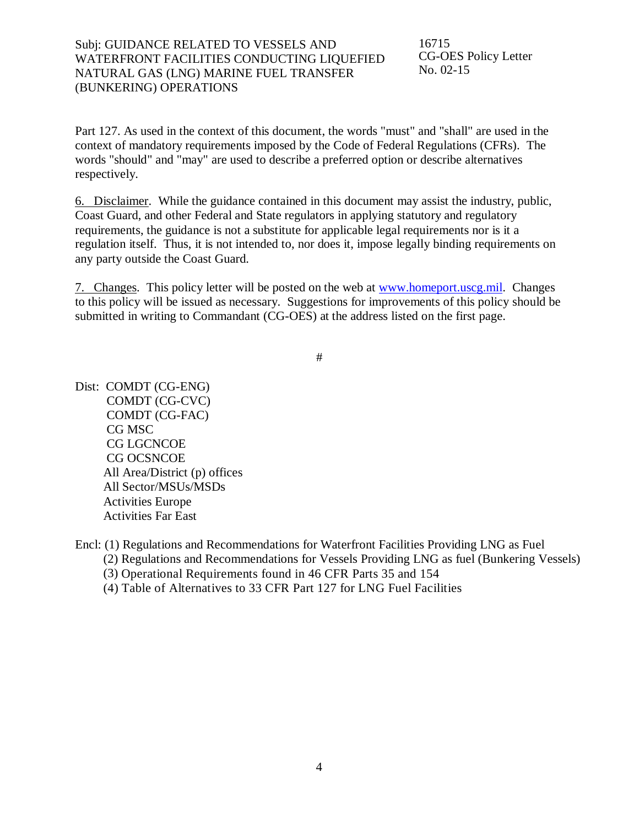Subj: GUIDANCE RELATED TO VESSELS AND WATERFRONT FACILITIES CONDUCTING LIQUEFIED NATURAL GAS (LNG) MARINE FUEL TRANSFER (BUNKERING) OPERATIONS

16715 CG-OES Policy Letter No. 02-15

Part 127. As used in the context of this document, the words "must" and "shall" are used in the context of mandatory requirements imposed by the Code of Federal Regulations (CFRs). The words "should" and "may" are used to describe a preferred option or describe alternatives respectively.

6. Disclaimer. While the guidance contained in this document may assist the industry, public, Coast Guard, and other Federal and State regulators in applying statutory and regulatory requirements, the guidance is not a substitute for applicable legal requirements nor is it a regulation itself. Thus, it is not intended to, nor does it, impose legally binding requirements on any party outside the Coast Guard.

7. Changes. This policy letter will be posted on the web at [www.homeport.uscg.mil.](http://www.homeport.uscg.mil/) Changes to this policy will be issued as necessary. Suggestions for improvements of this policy should be submitted in writing to Commandant (CG-OES) at the address listed on the first page.

#

Dist: COMDT (CG-ENG) COMDT (CG-CVC) COMDT (CG-FAC) CG MSC CG LGCNCOE CG OCSNCOE All Area/District (p) offices All Sector/MSUs/MSDs Activities Europe Activities Far East

Encl: (1) Regulations and Recommendations for Waterfront Facilities Providing LNG as Fuel

(2) Regulations and Recommendations for Vessels Providing LNG as fuel (Bunkering Vessels)

(3) Operational Requirements found in 46 CFR Parts 35 and 154

(4) Table of Alternatives to 33 CFR Part 127 for LNG Fuel Facilities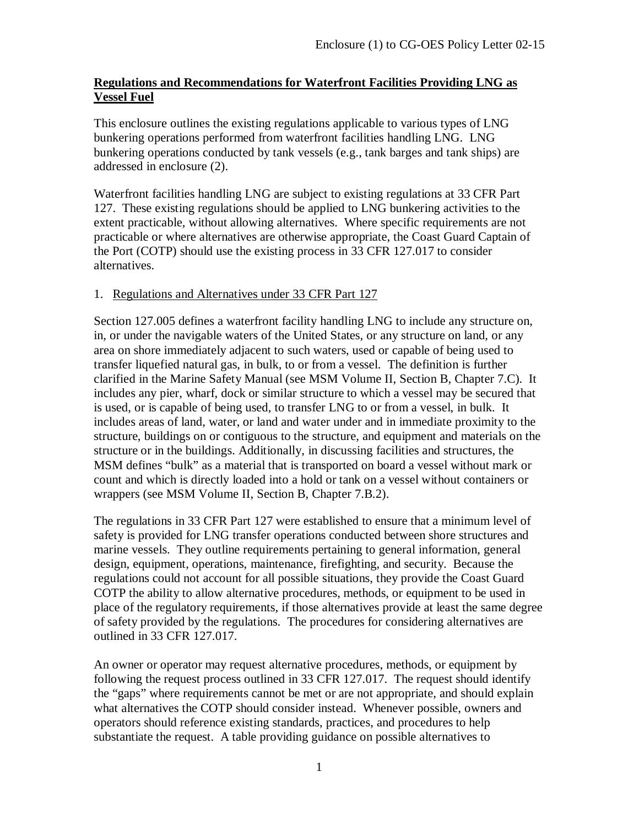## **Regulations and Recommendations for Waterfront Facilities Providing LNG as Vessel Fuel**

This enclosure outlines the existing regulations applicable to various types of LNG bunkering operations performed from waterfront facilities handling LNG. LNG bunkering operations conducted by tank vessels (e.g., tank barges and tank ships) are addressed in enclosure (2).

Waterfront facilities handling LNG are subject to existing regulations at 33 CFR Part 127. These existing regulations should be applied to LNG bunkering activities to the extent practicable, without allowing alternatives. Where specific requirements are not practicable or where alternatives are otherwise appropriate, the Coast Guard Captain of the Port (COTP) should use the existing process in 33 CFR 127.017 to consider alternatives.

## 1. Regulations and Alternatives under 33 CFR Part 127

Section 127.005 defines a waterfront facility handling LNG to include any structure on, in, or under the navigable waters of the United States, or any structure on land, or any area on shore immediately adjacent to such waters, used or capable of being used to transfer liquefied natural gas, in bulk, to or from a vessel. The definition is further clarified in the Marine Safety Manual (see MSM Volume II, Section B, Chapter 7.C). It includes any pier, wharf, dock or similar structure to which a vessel may be secured that is used, or is capable of being used, to transfer LNG to or from a vessel, in bulk. It includes areas of land, water, or land and water under and in immediate proximity to the structure, buildings on or contiguous to the structure, and equipment and materials on the structure or in the buildings. Additionally, in discussing facilities and structures, the MSM defines "bulk" as a material that is transported on board a vessel without mark or count and which is directly loaded into a hold or tank on a vessel without containers or wrappers (see MSM Volume II, Section B, Chapter 7.B.2).

The regulations in 33 CFR Part 127 were established to ensure that a minimum level of safety is provided for LNG transfer operations conducted between shore structures and marine vessels. They outline requirements pertaining to general information, general design, equipment, operations, maintenance, firefighting, and security. Because the regulations could not account for all possible situations, they provide the Coast Guard COTP the ability to allow alternative procedures, methods, or equipment to be used in place of the regulatory requirements, if those alternatives provide at least the same degree of safety provided by the regulations. The procedures for considering alternatives are outlined in 33 CFR 127.017.

An owner or operator may request alternative procedures, methods, or equipment by following the request process outlined in 33 CFR 127.017. The request should identify the "gaps" where requirements cannot be met or are not appropriate, and should explain what alternatives the COTP should consider instead. Whenever possible, owners and operators should reference existing standards, practices, and procedures to help substantiate the request. A table providing guidance on possible alternatives to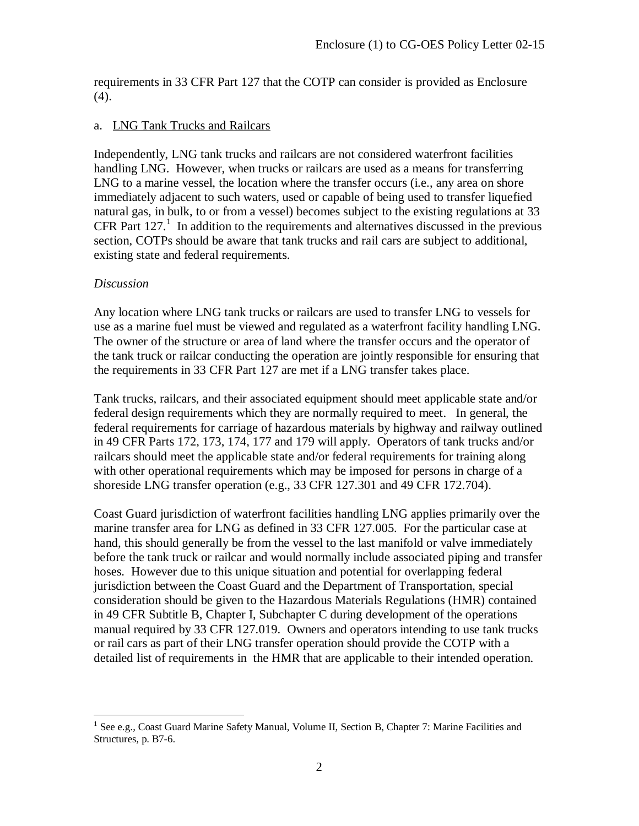requirements in 33 CFR Part 127 that the COTP can consider is provided as Enclosure (4).

### a. LNG Tank Trucks and Railcars

Independently, LNG tank trucks and railcars are not considered waterfront facilities handling LNG. However, when trucks or railcars are used as a means for transferring LNG to a marine vessel, the location where the transfer occurs (i.e., any area on shore immediately adjacent to such waters, used or capable of being used to transfer liquefied natural gas, in bulk, to or from a vessel) becomes subject to the existing regulations at 33 CFR Part [1](#page-5-0)27.<sup>1</sup> In addition to the requirements and alternatives discussed in the previous section, COTPs should be aware that tank trucks and rail cars are subject to additional, existing state and federal requirements.

## *Discussion*

Any location where LNG tank trucks or railcars are used to transfer LNG to vessels for use as a marine fuel must be viewed and regulated as a waterfront facility handling LNG. The owner of the structure or area of land where the transfer occurs and the operator of the tank truck or railcar conducting the operation are jointly responsible for ensuring that the requirements in 33 CFR Part 127 are met if a LNG transfer takes place.

Tank trucks, railcars, and their associated equipment should meet applicable state and/or federal design requirements which they are normally required to meet. In general, the federal requirements for carriage of hazardous materials by highway and railway outlined in 49 CFR Parts 172, 173, 174, 177 and 179 will apply. Operators of tank trucks and/or railcars should meet the applicable state and/or federal requirements for training along with other operational requirements which may be imposed for persons in charge of a shoreside LNG transfer operation (e.g., 33 CFR 127.301 and 49 CFR 172.704).

Coast Guard jurisdiction of waterfront facilities handling LNG applies primarily over the marine transfer area for LNG as defined in 33 CFR 127.005. For the particular case at hand, this should generally be from the vessel to the last manifold or valve immediately before the tank truck or railcar and would normally include associated piping and transfer hoses. However due to this unique situation and potential for overlapping federal jurisdiction between the Coast Guard and the Department of Transportation, special consideration should be given to the Hazardous Materials Regulations (HMR) contained in 49 CFR Subtitle B, Chapter I, Subchapter C during development of the operations manual required by 33 CFR 127.019. Owners and operators intending to use tank trucks or rail cars as part of their LNG transfer operation should provide the COTP with a detailed list of requirements in the HMR that are applicable to their intended operation.

<span id="page-5-0"></span><sup>&</sup>lt;sup>1</sup> See e.g., Coast Guard Marine Safety Manual, Volume II, Section B, Chapter 7: Marine Facilities and Structures, p. B7-6.  $\overline{a}$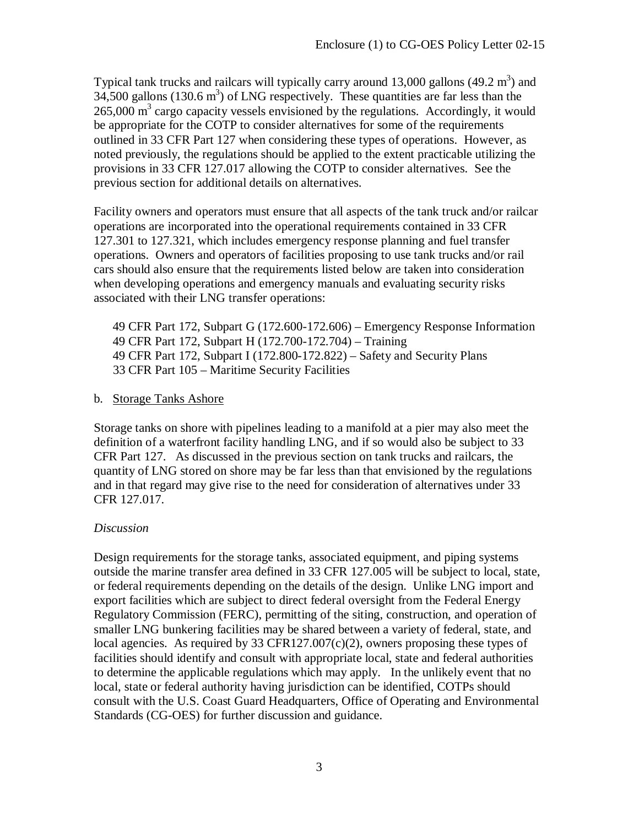Typical tank trucks and railcars will typically carry around 13,000 gallons  $(49.2 \text{ m}^3)$  and  $34,500$  gallons  $(130.6 \text{ m}^3)$  of LNG respectively. These quantities are far less than the  $265,000$  m<sup>3</sup> cargo capacity vessels envisioned by the regulations. Accordingly, it would be appropriate for the COTP to consider alternatives for some of the requirements outlined in 33 CFR Part 127 when considering these types of operations. However, as noted previously, the regulations should be applied to the extent practicable utilizing the provisions in 33 CFR 127.017 allowing the COTP to consider alternatives. See the previous section for additional details on alternatives.

Facility owners and operators must ensure that all aspects of the tank truck and/or railcar operations are incorporated into the operational requirements contained in 33 CFR 127.301 to 127.321, which includes emergency response planning and fuel transfer operations. Owners and operators of facilities proposing to use tank trucks and/or rail cars should also ensure that the requirements listed below are taken into consideration when developing operations and emergency manuals and evaluating security risks associated with their LNG transfer operations:

49 CFR Part 172, Subpart G (172.600-172.606) – Emergency Response Information 49 CFR Part 172, Subpart H (172.700-172.704) – Training 49 CFR Part 172, Subpart I (172.800-172.822) – Safety and Security Plans 33 CFR Part 105 – Maritime Security Facilities

#### b. Storage Tanks Ashore

Storage tanks on shore with pipelines leading to a manifold at a pier may also meet the definition of a waterfront facility handling LNG, and if so would also be subject to 33 CFR Part 127. As discussed in the previous section on tank trucks and railcars, the quantity of LNG stored on shore may be far less than that envisioned by the regulations and in that regard may give rise to the need for consideration of alternatives under 33 CFR 127.017.

#### *Discussion*

Design requirements for the storage tanks, associated equipment, and piping systems outside the marine transfer area defined in 33 CFR 127.005 will be subject to local, state, or federal requirements depending on the details of the design. Unlike LNG import and export facilities which are subject to direct federal oversight from the Federal Energy Regulatory Commission (FERC), permitting of the siting, construction, and operation of smaller LNG bunkering facilities may be shared between a variety of federal, state, and local agencies. As required by 33 CFR127.007 $(c)(2)$ , owners proposing these types of facilities should identify and consult with appropriate local, state and federal authorities to determine the applicable regulations which may apply. In the unlikely event that no local, state or federal authority having jurisdiction can be identified, COTPs should consult with the U.S. Coast Guard Headquarters, Office of Operating and Environmental Standards (CG-OES) for further discussion and guidance.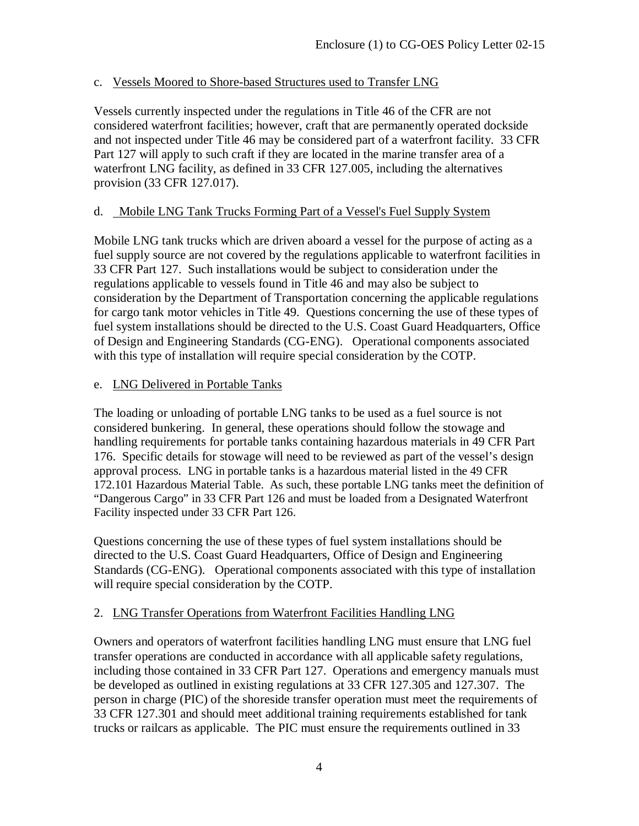### c. Vessels Moored to Shore-based Structures used to Transfer LNG

Vessels currently inspected under the regulations in Title 46 of the CFR are not considered waterfront facilities; however, craft that are permanently operated dockside and not inspected under Title 46 may be considered part of a waterfront facility. 33 CFR Part 127 will apply to such craft if they are located in the marine transfer area of a waterfront LNG facility, as defined in 33 CFR 127.005, including the alternatives provision (33 CFR 127.017).

## d. Mobile LNG Tank Trucks Forming Part of a Vessel's Fuel Supply System

Mobile LNG tank trucks which are driven aboard a vessel for the purpose of acting as a fuel supply source are not covered by the regulations applicable to waterfront facilities in 33 CFR Part 127. Such installations would be subject to consideration under the regulations applicable to vessels found in Title 46 and may also be subject to consideration by the Department of Transportation concerning the applicable regulations for cargo tank motor vehicles in Title 49. Questions concerning the use of these types of fuel system installations should be directed to the U.S. Coast Guard Headquarters, Office of Design and Engineering Standards (CG-ENG). Operational components associated with this type of installation will require special consideration by the COTP.

## e. LNG Delivered in Portable Tanks

The loading or unloading of portable LNG tanks to be used as a fuel source is not considered bunkering. In general, these operations should follow the stowage and handling requirements for portable tanks containing hazardous materials in 49 CFR Part 176. Specific details for stowage will need to be reviewed as part of the vessel's design approval process. LNG in portable tanks is a hazardous material listed in the 49 CFR 172.101 Hazardous Material Table. As such, these portable LNG tanks meet the definition of "Dangerous Cargo" in 33 CFR Part 126 and must be loaded from a Designated Waterfront Facility inspected under 33 CFR Part 126.

Questions concerning the use of these types of fuel system installations should be directed to the U.S. Coast Guard Headquarters, Office of Design and Engineering Standards (CG-ENG). Operational components associated with this type of installation will require special consideration by the COTP.

# 2. LNG Transfer Operations from Waterfront Facilities Handling LNG

Owners and operators of waterfront facilities handling LNG must ensure that LNG fuel transfer operations are conducted in accordance with all applicable safety regulations, including those contained in 33 CFR Part 127. Operations and emergency manuals must be developed as outlined in existing regulations at 33 CFR 127.305 and 127.307. The person in charge (PIC) of the shoreside transfer operation must meet the requirements of 33 CFR 127.301 and should meet additional training requirements established for tank trucks or railcars as applicable. The PIC must ensure the requirements outlined in 33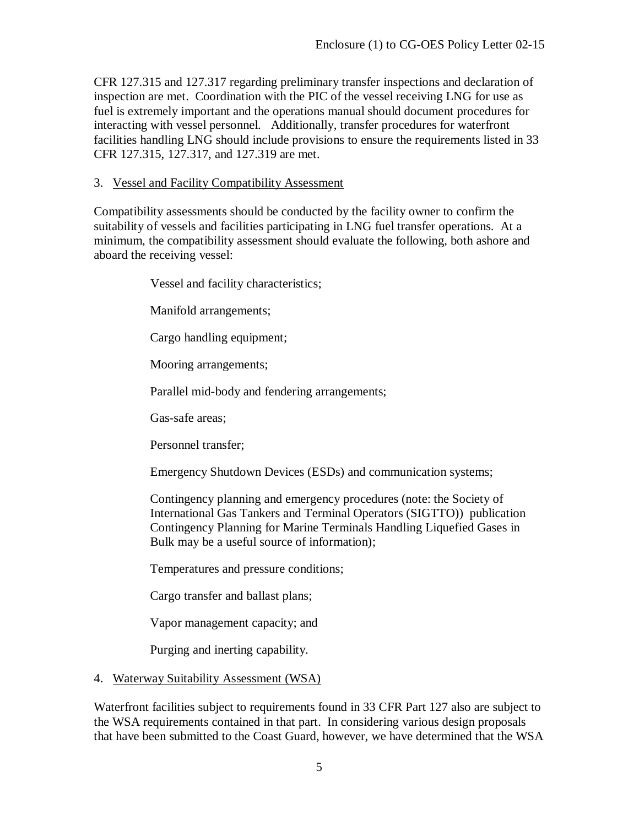CFR 127.315 and 127.317 regarding preliminary transfer inspections and declaration of inspection are met. Coordination with the PIC of the vessel receiving LNG for use as fuel is extremely important and the operations manual should document procedures for interacting with vessel personnel. Additionally, transfer procedures for waterfront facilities handling LNG should include provisions to ensure the requirements listed in 33 CFR 127.315, 127.317, and 127.319 are met.

#### 3. Vessel and Facility Compatibility Assessment

Compatibility assessments should be conducted by the facility owner to confirm the suitability of vessels and facilities participating in LNG fuel transfer operations. At a minimum, the compatibility assessment should evaluate the following, both ashore and aboard the receiving vessel:

Vessel and facility characteristics;

Manifold arrangements;

Cargo handling equipment;

Mooring arrangements;

Parallel mid-body and fendering arrangements;

Gas-safe areas;

Personnel transfer;

Emergency Shutdown Devices (ESDs) and communication systems;

Contingency planning and emergency procedures (note: the Society of International Gas Tankers and Terminal Operators (SIGTTO)) publication Contingency Planning for Marine Terminals Handling Liquefied Gases in Bulk may be a useful source of information);

Temperatures and pressure conditions;

Cargo transfer and ballast plans;

Vapor management capacity; and

Purging and inerting capability.

#### 4. Waterway Suitability Assessment (WSA)

Waterfront facilities subject to requirements found in 33 CFR Part 127 also are subject to the WSA requirements contained in that part. In considering various design proposals that have been submitted to the Coast Guard, however, we have determined that the WSA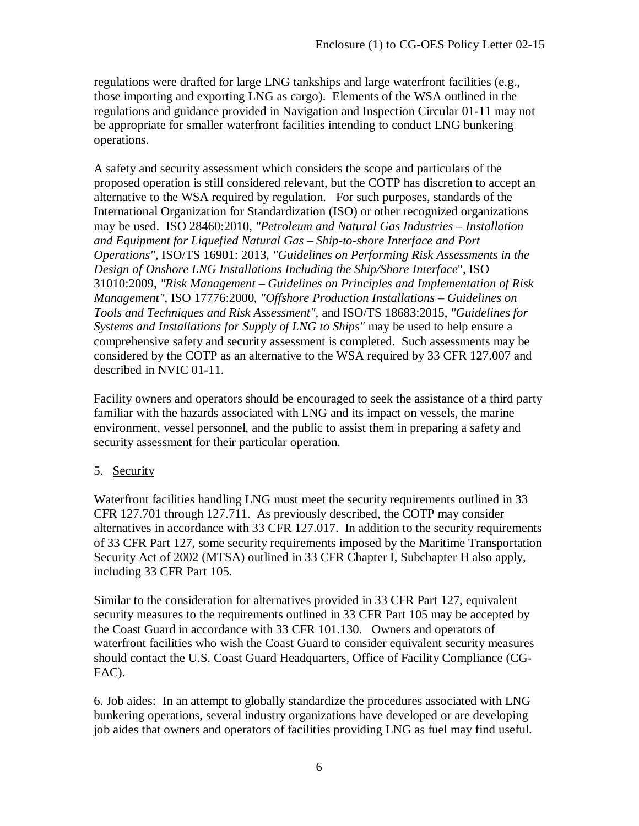regulations were drafted for large LNG tankships and large waterfront facilities (e.g., those importing and exporting LNG as cargo). Elements of the WSA outlined in the regulations and guidance provided in Navigation and Inspection Circular 01-11 may not be appropriate for smaller waterfront facilities intending to conduct LNG bunkering operations.

A safety and security assessment which considers the scope and particulars of the proposed operation is still considered relevant, but the COTP has discretion to accept an alternative to the WSA required by regulation. For such purposes, standards of the International Organization for Standardization (ISO) or other recognized organizations may be used. ISO 28460:2010, *"Petroleum and Natural Gas Industries – Installation and Equipment for Liquefied Natural Gas – Ship-to-shore Interface and Port Operations"*, ISO/TS 16901: 2013, *"Guidelines on Performing Risk Assessments in the Design of Onshore LNG Installations Including the Ship/Shore Interface*", ISO 31010:2009, *"Risk Management – Guidelines on Principles and Implementation of Risk Management"*, ISO 17776:2000, *"Offshore Production Installations – Guidelines on Tools and Techniques and Risk Assessment",* and ISO/TS 18683:2015, *"Guidelines for Systems and Installations for Supply of LNG to Ships"* may be used to help ensure a comprehensive safety and security assessment is completed. Such assessments may be considered by the COTP as an alternative to the WSA required by 33 CFR 127.007 and described in NVIC 01-11.

Facility owners and operators should be encouraged to seek the assistance of a third party familiar with the hazards associated with LNG and its impact on vessels, the marine environment, vessel personnel, and the public to assist them in preparing a safety and security assessment for their particular operation.

# 5. Security

Waterfront facilities handling LNG must meet the security requirements outlined in 33 CFR 127.701 through 127.711. As previously described, the COTP may consider alternatives in accordance with 33 CFR 127.017. In addition to the security requirements of 33 CFR Part 127, some security requirements imposed by the Maritime Transportation Security Act of 2002 (MTSA) outlined in 33 CFR Chapter I, Subchapter H also apply, including 33 CFR Part 105.

Similar to the consideration for alternatives provided in 33 CFR Part 127, equivalent security measures to the requirements outlined in 33 CFR Part 105 may be accepted by the Coast Guard in accordance with 33 CFR 101.130. Owners and operators of waterfront facilities who wish the Coast Guard to consider equivalent security measures should contact the U.S. Coast Guard Headquarters, Office of Facility Compliance (CG-FAC).

6. Job aides: In an attempt to globally standardize the procedures associated with LNG bunkering operations, several industry organizations have developed or are developing job aides that owners and operators of facilities providing LNG as fuel may find useful.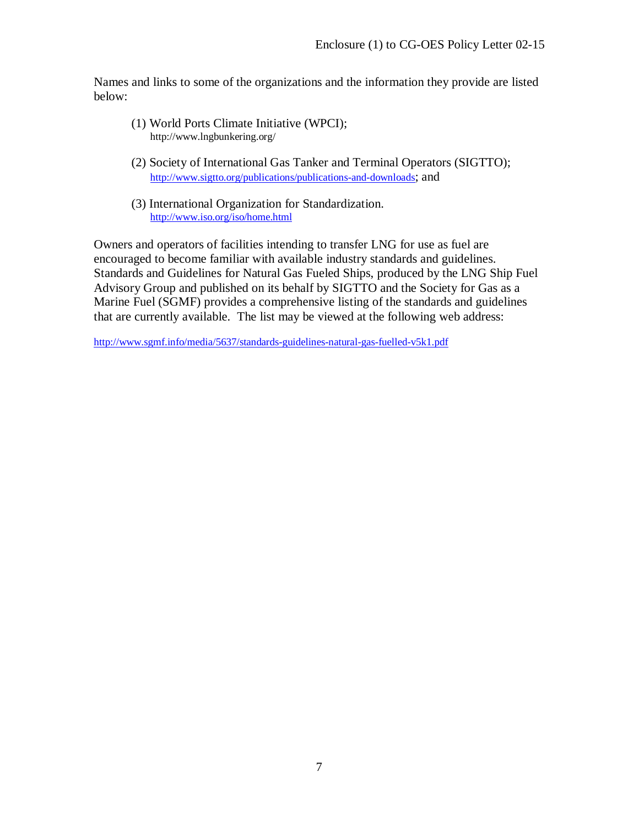Names and links to some of the organizations and the information they provide are listed below:

- (1) World Ports Climate Initiative (WPCI); http://www.lngbunkering.org/
- (2) Society of International Gas Tanker and Terminal Operators (SIGTTO); [http://www.sigtto.org/publications/publications-and-downloads;](http://www.sigtto.org/publications/publications-and-downloads) and
- (3) International Organization for Standardization. <http://www.iso.org/iso/home.html>

Owners and operators of facilities intending to transfer LNG for use as fuel are encouraged to become familiar with available industry standards and guidelines. Standards and Guidelines for Natural Gas Fueled Ships, produced by the LNG Ship Fuel Advisory Group and published on its behalf by SIGTTO and the Society for Gas as a Marine Fuel (SGMF) provides a comprehensive listing of the standards and guidelines that are currently available. The list may be viewed at the following web address:

<http://www.sgmf.info/media/5637/standards-guidelines-natural-gas-fuelled-v5k1.pdf>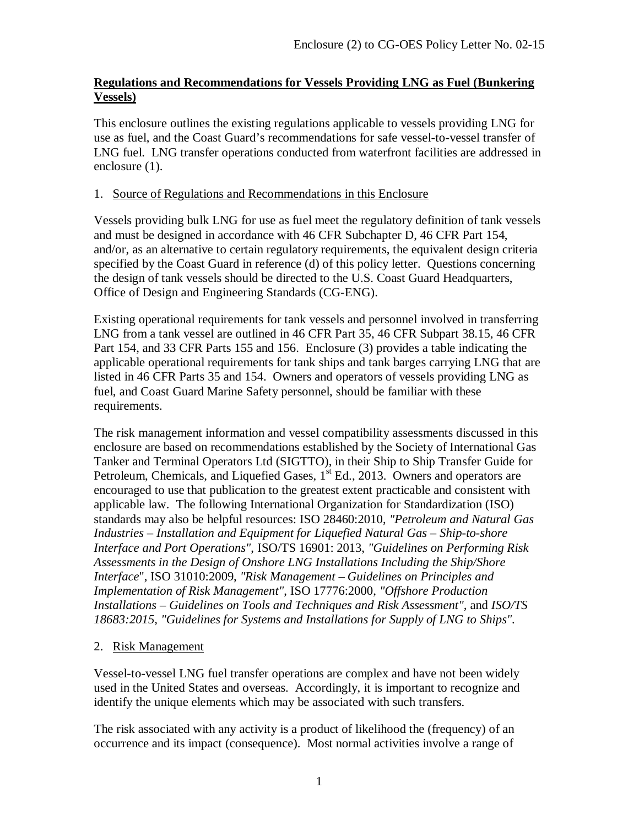#### **Regulations and Recommendations for Vessels Providing LNG as Fuel (Bunkering Vessels)**

This enclosure outlines the existing regulations applicable to vessels providing LNG for use as fuel, and the Coast Guard's recommendations for safe vessel-to-vessel transfer of LNG fuel. LNG transfer operations conducted from waterfront facilities are addressed in enclosure (1).

#### 1. Source of Regulations and Recommendations in this Enclosure

Vessels providing bulk LNG for use as fuel meet the regulatory definition of tank vessels and must be designed in accordance with 46 CFR Subchapter D, 46 CFR Part 154, and/or, as an alternative to certain regulatory requirements, the equivalent design criteria specified by the Coast Guard in reference (d) of this policy letter. Questions concerning the design of tank vessels should be directed to the U.S. Coast Guard Headquarters, Office of Design and Engineering Standards (CG-ENG).

Existing operational requirements for tank vessels and personnel involved in transferring LNG from a tank vessel are outlined in 46 CFR Part 35, 46 CFR Subpart 38.15, 46 CFR Part 154, and 33 CFR Parts 155 and 156. Enclosure (3) provides a table indicating the applicable operational requirements for tank ships and tank barges carrying LNG that are listed in 46 CFR Parts 35 and 154. Owners and operators of vessels providing LNG as fuel, and Coast Guard Marine Safety personnel, should be familiar with these requirements.

The risk management information and vessel compatibility assessments discussed in this enclosure are based on recommendations established by the Society of International Gas Tanker and Terminal Operators Ltd (SIGTTO), in their Ship to Ship Transfer Guide for Petroleum, Chemicals, and Liquefied Gases,  $1<sup>st</sup>$  Ed., 2013. Owners and operators are encouraged to use that publication to the greatest extent practicable and consistent with applicable law. The following International Organization for Standardization (ISO) standards may also be helpful resources: ISO 28460:2010, *"Petroleum and Natural Gas Industries – Installation and Equipment for Liquefied Natural Gas – Ship-to-shore Interface and Port Operations"*, ISO/TS 16901: 2013, *"Guidelines on Performing Risk Assessments in the Design of Onshore LNG Installations Including the Ship/Shore Interface*", ISO 31010:2009, *"Risk Management – Guidelines on Principles and Implementation of Risk Management"*, ISO 17776:2000, *"Offshore Production Installations – Guidelines on Tools and Techniques and Risk Assessment",* and *ISO/TS 18683:2015, "Guidelines for Systems and Installations for Supply of LNG to Ships".*

# 2. Risk Management

Vessel-to-vessel LNG fuel transfer operations are complex and have not been widely used in the United States and overseas. Accordingly, it is important to recognize and identify the unique elements which may be associated with such transfers.

The risk associated with any activity is a product of likelihood the (frequency) of an occurrence and its impact (consequence). Most normal activities involve a range of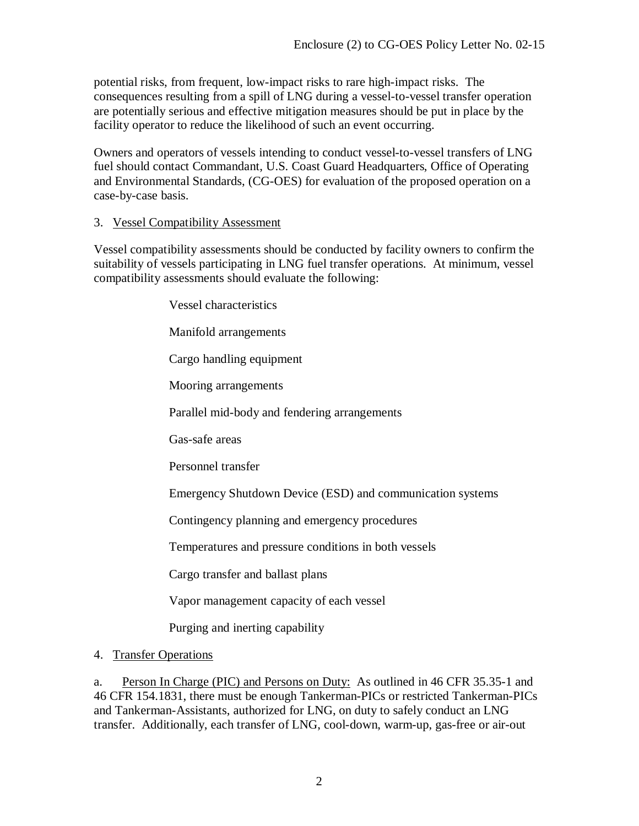potential risks, from frequent, low-impact risks to rare high-impact risks. The consequences resulting from a spill of LNG during a vessel-to-vessel transfer operation are potentially serious and effective mitigation measures should be put in place by the facility operator to reduce the likelihood of such an event occurring.

Owners and operators of vessels intending to conduct vessel-to-vessel transfers of LNG fuel should contact Commandant, U.S. Coast Guard Headquarters, Office of Operating and Environmental Standards, (CG-OES) for evaluation of the proposed operation on a case-by-case basis.

#### 3. Vessel Compatibility Assessment

Vessel compatibility assessments should be conducted by facility owners to confirm the suitability of vessels participating in LNG fuel transfer operations. At minimum, vessel compatibility assessments should evaluate the following:

> Vessel characteristics Manifold arrangements Cargo handling equipment Mooring arrangements Parallel mid-body and fendering arrangements Gas-safe areas Personnel transfer Emergency Shutdown Device (ESD) and communication systems Contingency planning and emergency procedures Temperatures and pressure conditions in both vessels Cargo transfer and ballast plans Vapor management capacity of each vessel Purging and inerting capability

4. Transfer Operations

a. Person In Charge (PIC) and Persons on Duty: As outlined in 46 CFR 35.35-1 and 46 CFR 154.1831, there must be enough Tankerman-PICs or restricted Tankerman-PICs and Tankerman-Assistants, authorized for LNG, on duty to safely conduct an LNG transfer. Additionally, each transfer of LNG, cool-down, warm-up, gas-free or air-out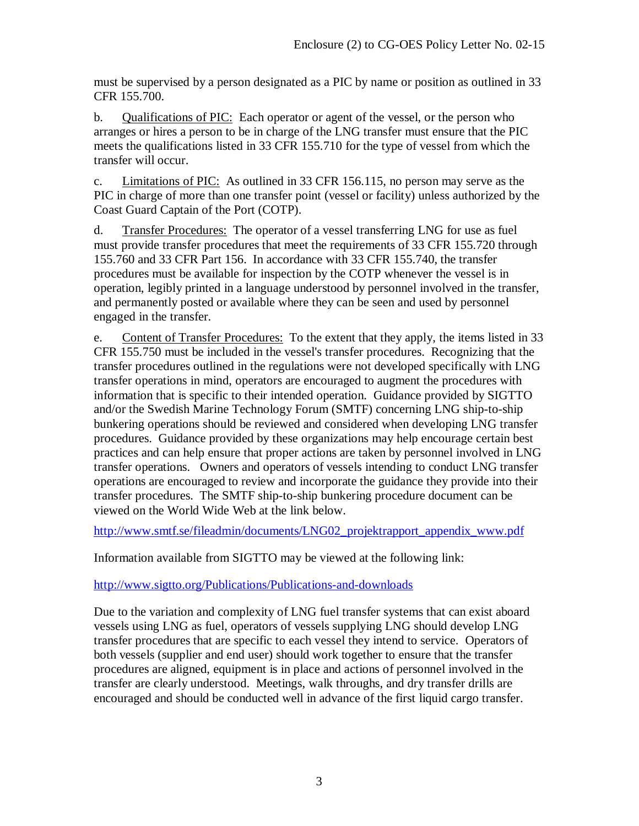must be supervised by a person designated as a PIC by name or position as outlined in 33 CFR 155.700.

b. Qualifications of PIC: Each operator or agent of the vessel, or the person who arranges or hires a person to be in charge of the LNG transfer must ensure that the PIC meets the qualifications listed in 33 CFR 155.710 for the type of vessel from which the transfer will occur.

c. Limitations of PIC: As outlined in 33 CFR 156.115, no person may serve as the PIC in charge of more than one transfer point (vessel or facility) unless authorized by the Coast Guard Captain of the Port (COTP).

d. Transfer Procedures: The operator of a vessel transferring LNG for use as fuel must provide transfer procedures that meet the requirements of 33 CFR 155.720 through 155.760 and 33 CFR Part 156. In accordance with 33 CFR 155.740, the transfer procedures must be available for inspection by the COTP whenever the vessel is in operation, legibly printed in a language understood by personnel involved in the transfer, and permanently posted or available where they can be seen and used by personnel engaged in the transfer.

e. Content of Transfer Procedures: To the extent that they apply, the items listed in 33 CFR 155.750 must be included in the vessel's transfer procedures. Recognizing that the transfer procedures outlined in the regulations were not developed specifically with LNG transfer operations in mind, operators are encouraged to augment the procedures with information that is specific to their intended operation. Guidance provided by SIGTTO and/or the Swedish Marine Technology Forum (SMTF) concerning LNG ship-to-ship bunkering operations should be reviewed and considered when developing LNG transfer procedures. Guidance provided by these organizations may help encourage certain best practices and can help ensure that proper actions are taken by personnel involved in LNG transfer operations. Owners and operators of vessels intending to conduct LNG transfer operations are encouraged to review and incorporate the guidance they provide into their transfer procedures. The SMTF ship-to-ship bunkering procedure document can be viewed on the World Wide Web at the link below.

[http://www.smtf.se/fileadmin/documents/LNG02\\_projektrapport\\_appendix\\_www.pdf](http://www.smtf.se/fileadmin/documents/LNG02_projektrapport_appendix_www.pdf)

Information available from SIGTTO may be viewed at the following link:

# <http://www.sigtto.org/Publications/Publications-and-downloads>

Due to the variation and complexity of LNG fuel transfer systems that can exist aboard vessels using LNG as fuel, operators of vessels supplying LNG should develop LNG transfer procedures that are specific to each vessel they intend to service. Operators of both vessels (supplier and end user) should work together to ensure that the transfer procedures are aligned, equipment is in place and actions of personnel involved in the transfer are clearly understood. Meetings, walk throughs, and dry transfer drills are encouraged and should be conducted well in advance of the first liquid cargo transfer.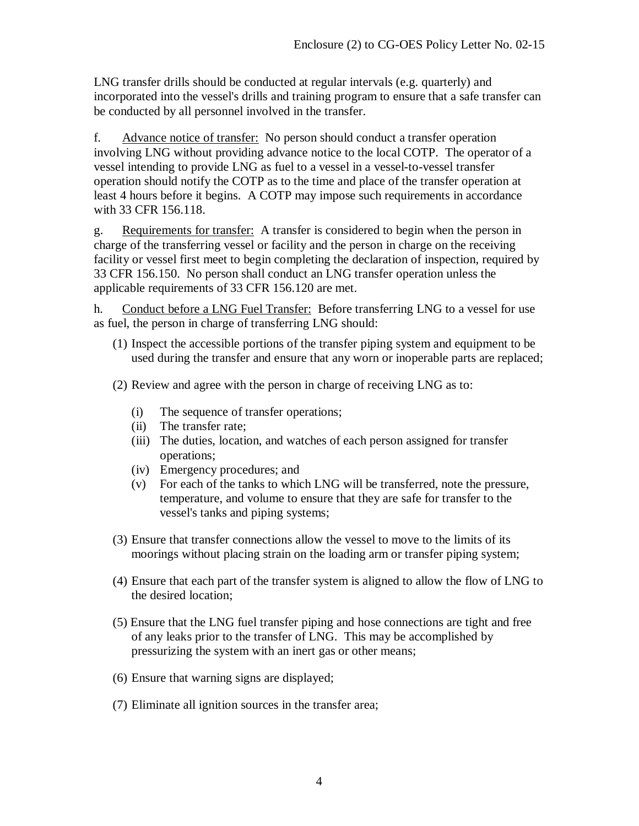LNG transfer drills should be conducted at regular intervals (e.g. quarterly) and incorporated into the vessel's drills and training program to ensure that a safe transfer can be conducted by all personnel involved in the transfer.

f. Advance notice of transfer: No person should conduct a transfer operation involving LNG without providing advance notice to the local COTP. The operator of a vessel intending to provide LNG as fuel to a vessel in a vessel-to-vessel transfer operation should notify the COTP as to the time and place of the transfer operation at least 4 hours before it begins. A COTP may impose such requirements in accordance with 33 CFR 156.118.

g. Requirements for transfer: A transfer is considered to begin when the person in charge of the transferring vessel or facility and the person in charge on the receiving facility or vessel first meet to begin completing the declaration of inspection, required by 33 CFR 156.150. No person shall conduct an LNG transfer operation unless the applicable requirements of 33 CFR 156.120 are met.

h. Conduct before a LNG Fuel Transfer: Before transferring LNG to a vessel for use as fuel, the person in charge of transferring LNG should:

- (1) Inspect the accessible portions of the transfer piping system and equipment to be used during the transfer and ensure that any worn or inoperable parts are replaced;
- (2) Review and agree with the person in charge of receiving LNG as to:
	- (i) The sequence of transfer operations;
	- (ii) The transfer rate;
	- (iii) The duties, location, and watches of each person assigned for transfer operations;
	- (iv) Emergency procedures; and
	- (v) For each of the tanks to which LNG will be transferred, note the pressure, temperature, and volume to ensure that they are safe for transfer to the vessel's tanks and piping systems;
- (3) Ensure that transfer connections allow the vessel to move to the limits of its moorings without placing strain on the loading arm or transfer piping system;
- (4) Ensure that each part of the transfer system is aligned to allow the flow of LNG to the desired location;
- (5) Ensure that the LNG fuel transfer piping and hose connections are tight and free of any leaks prior to the transfer of LNG. This may be accomplished by pressurizing the system with an inert gas or other means;
- (6) Ensure that warning signs are displayed;
- (7) Eliminate all ignition sources in the transfer area;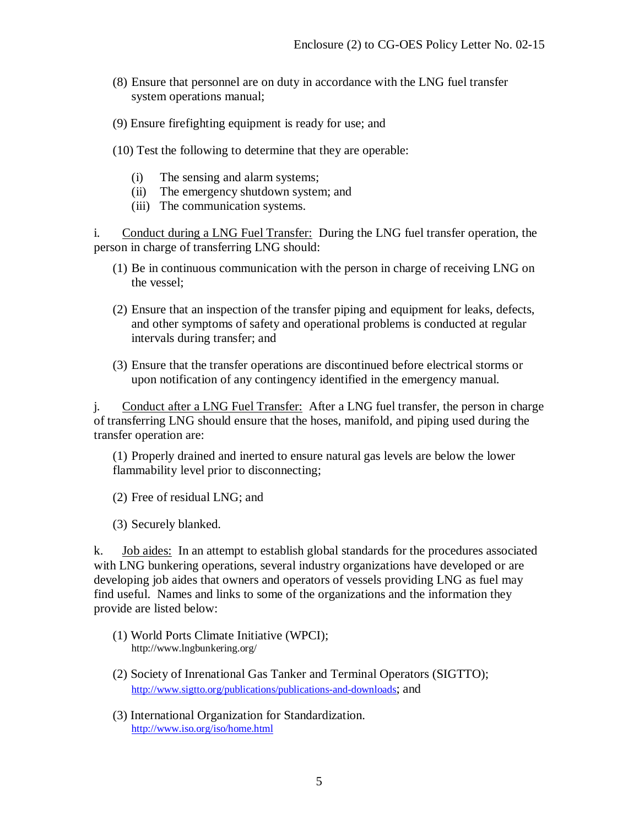- (8) Ensure that personnel are on duty in accordance with the LNG fuel transfer system operations manual;
- (9) Ensure firefighting equipment is ready for use; and
- (10) Test the following to determine that they are operable:
	- (i) The sensing and alarm systems;
	- (ii) The emergency shutdown system; and
	- (iii) The communication systems.

i. Conduct during a LNG Fuel Transfer: During the LNG fuel transfer operation, the person in charge of transferring LNG should:

- (1) Be in continuous communication with the person in charge of receiving LNG on the vessel;
- (2) Ensure that an inspection of the transfer piping and equipment for leaks, defects, and other symptoms of safety and operational problems is conducted at regular intervals during transfer; and
- (3) Ensure that the transfer operations are discontinued before electrical storms or upon notification of any contingency identified in the emergency manual.

j. Conduct after a LNG Fuel Transfer: After a LNG fuel transfer, the person in charge of transferring LNG should ensure that the hoses, manifold, and piping used during the transfer operation are:

(1) Properly drained and inerted to ensure natural gas levels are below the lower flammability level prior to disconnecting;

(2) Free of residual LNG; and

(3) Securely blanked.

k. Job aides: In an attempt to establish global standards for the procedures associated with LNG bunkering operations, several industry organizations have developed or are developing job aides that owners and operators of vessels providing LNG as fuel may find useful. Names and links to some of the organizations and the information they provide are listed below:

- (1) World Ports Climate Initiative (WPCI); http://www.lngbunkering.org/
- (2) Society of Inrenational Gas Tanker and Terminal Operators (SIGTTO); [http://www.sigtto.org/publications/publications-and-downloads;](http://www.sigtto.org/publications/publications-and-downloads) and
- (3) International Organization for Standardization. <http://www.iso.org/iso/home.html>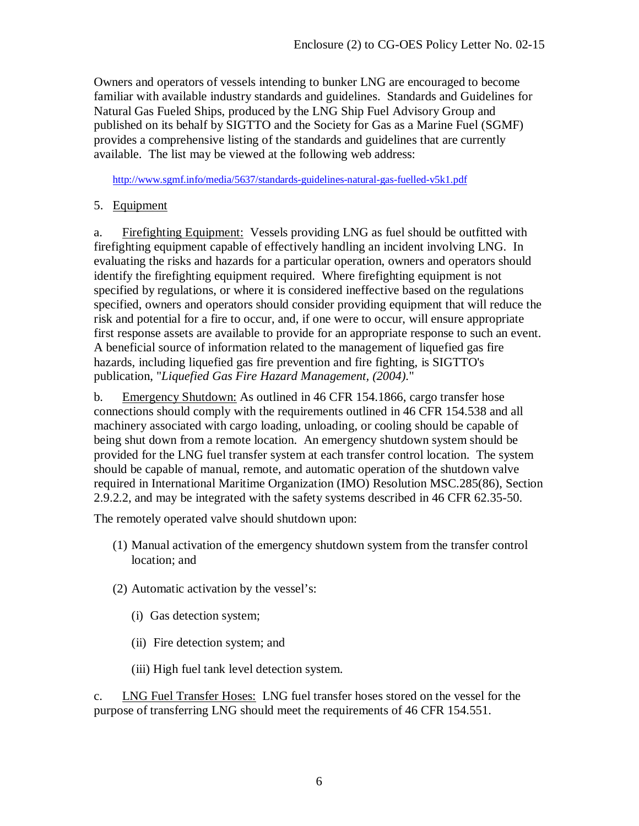Owners and operators of vessels intending to bunker LNG are encouraged to become familiar with available industry standards and guidelines. Standards and Guidelines for Natural Gas Fueled Ships, produced by the LNG Ship Fuel Advisory Group and published on its behalf by SIGTTO and the Society for Gas as a Marine Fuel (SGMF) provides a comprehensive listing of the standards and guidelines that are currently available. The list may be viewed at the following web address:

<http://www.sgmf.info/media/5637/standards-guidelines-natural-gas-fuelled-v5k1.pdf>

5. Equipment

a. Firefighting Equipment: Vessels providing LNG as fuel should be outfitted with firefighting equipment capable of effectively handling an incident involving LNG. In evaluating the risks and hazards for a particular operation, owners and operators should identify the firefighting equipment required. Where firefighting equipment is not specified by regulations, or where it is considered ineffective based on the regulations specified, owners and operators should consider providing equipment that will reduce the risk and potential for a fire to occur, and, if one were to occur, will ensure appropriate first response assets are available to provide for an appropriate response to such an event. A beneficial source of information related to the management of liquefied gas fire hazards, including liquefied gas fire prevention and fire fighting, is SIGTTO's publication, "*Liquefied Gas Fire Hazard Management, (2004).*"

b. Emergency Shutdown: As outlined in 46 CFR 154.1866, cargo transfer hose connections should comply with the requirements outlined in 46 CFR 154.538 and all machinery associated with cargo loading, unloading, or cooling should be capable of being shut down from a remote location. An emergency shutdown system should be provided for the LNG fuel transfer system at each transfer control location. The system should be capable of manual, remote, and automatic operation of the shutdown valve required in International Maritime Organization (IMO) Resolution MSC.285(86), Section 2.9.2.2, and may be integrated with the safety systems described in 46 CFR 62.35-50.

The remotely operated valve should shutdown upon:

- (1) Manual activation of the emergency shutdown system from the transfer control location; and
- (2) Automatic activation by the vessel's:
	- (i) Gas detection system;
	- (ii) Fire detection system; and
	- (iii) High fuel tank level detection system.

c. LNG Fuel Transfer Hoses: LNG fuel transfer hoses stored on the vessel for the purpose of transferring LNG should meet the requirements of 46 CFR 154.551.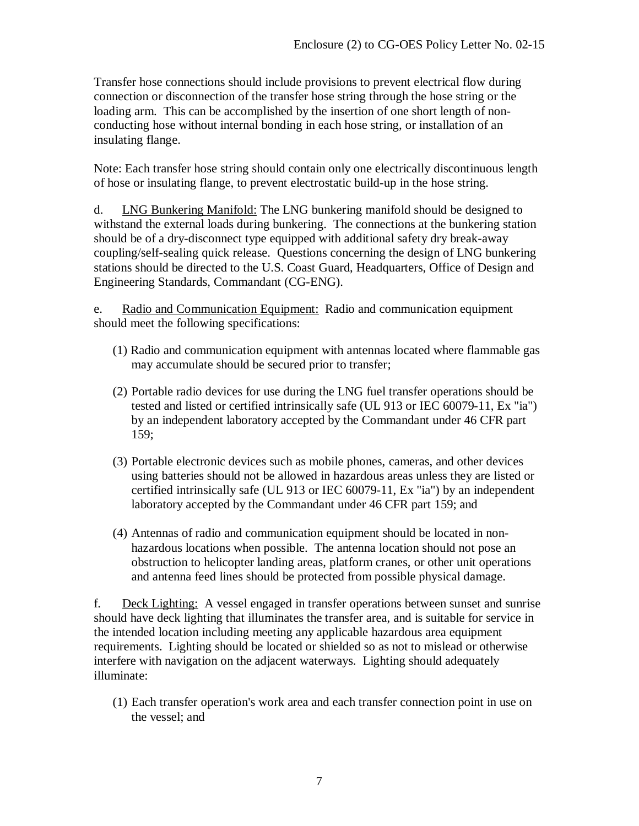Transfer hose connections should include provisions to prevent electrical flow during connection or disconnection of the transfer hose string through the hose string or the loading arm. This can be accomplished by the insertion of one short length of nonconducting hose without internal bonding in each hose string, or installation of an insulating flange.

Note: Each transfer hose string should contain only one electrically discontinuous length of hose or insulating flange, to prevent electrostatic build-up in the hose string.

d. LNG Bunkering Manifold: The LNG bunkering manifold should be designed to withstand the external loads during bunkering. The connections at the bunkering station should be of a dry-disconnect type equipped with additional safety dry break-away coupling/self-sealing quick release. Questions concerning the design of LNG bunkering stations should be directed to the U.S. Coast Guard, Headquarters, Office of Design and Engineering Standards, Commandant (CG-ENG).

e. Radio and Communication Equipment: Radio and communication equipment should meet the following specifications:

- (1) Radio and communication equipment with antennas located where flammable gas may accumulate should be secured prior to transfer;
- (2) Portable radio devices for use during the LNG fuel transfer operations should be tested and listed or certified intrinsically safe (UL 913 or IEC 60079-11, Ex "ia") by an independent laboratory accepted by the Commandant under 46 CFR part 159;
- (3) Portable electronic devices such as mobile phones, cameras, and other devices using batteries should not be allowed in hazardous areas unless they are listed or certified intrinsically safe (UL 913 or IEC 60079-11, Ex "ia") by an independent laboratory accepted by the Commandant under 46 CFR part 159; and
- (4) Antennas of radio and communication equipment should be located in nonhazardous locations when possible. The antenna location should not pose an obstruction to helicopter landing areas, platform cranes, or other unit operations and antenna feed lines should be protected from possible physical damage.

f. Deck Lighting: A vessel engaged in transfer operations between sunset and sunrise should have deck lighting that illuminates the transfer area, and is suitable for service in the intended location including meeting any applicable hazardous area equipment requirements. Lighting should be located or shielded so as not to mislead or otherwise interfere with navigation on the adjacent waterways. Lighting should adequately illuminate:

(1) Each transfer operation's work area and each transfer connection point in use on the vessel; and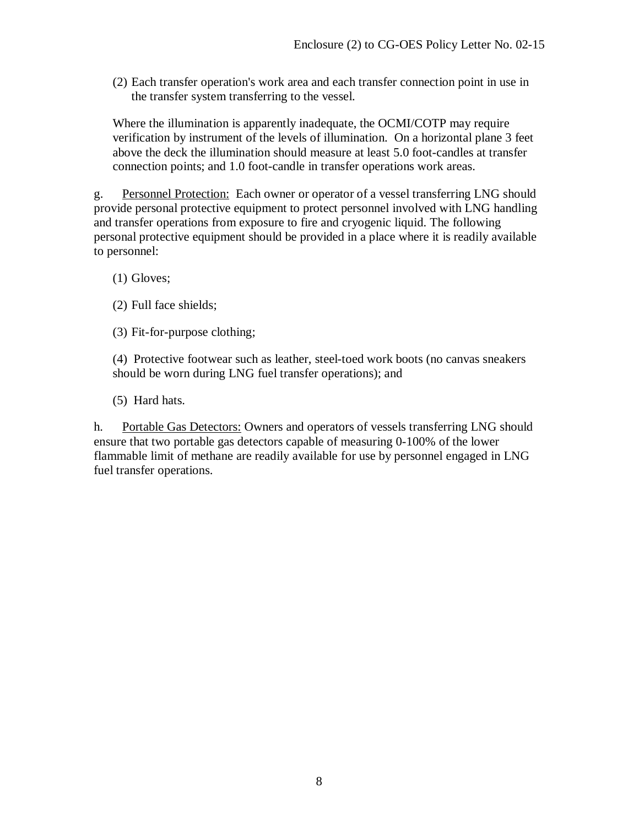(2) Each transfer operation's work area and each transfer connection point in use in the transfer system transferring to the vessel.

Where the illumination is apparently inadequate, the OCMI/COTP may require verification by instrument of the levels of illumination. On a horizontal plane 3 feet above the deck the illumination should measure at least 5.0 foot-candles at transfer connection points; and 1.0 foot-candle in transfer operations work areas.

g. Personnel Protection: Each owner or operator of a vessel transferring LNG should provide personal protective equipment to protect personnel involved with LNG handling and transfer operations from exposure to fire and cryogenic liquid. The following personal protective equipment should be provided in a place where it is readily available to personnel:

- (1) Gloves;
- (2) Full face shields;
- (3) Fit-for-purpose clothing;

(4) Protective footwear such as leather, steel-toed work boots (no canvas sneakers should be worn during LNG fuel transfer operations); and

(5) Hard hats.

h. Portable Gas Detectors: Owners and operators of vessels transferring LNG should ensure that two portable gas detectors capable of measuring 0-100% of the lower flammable limit of methane are readily available for use by personnel engaged in LNG fuel transfer operations.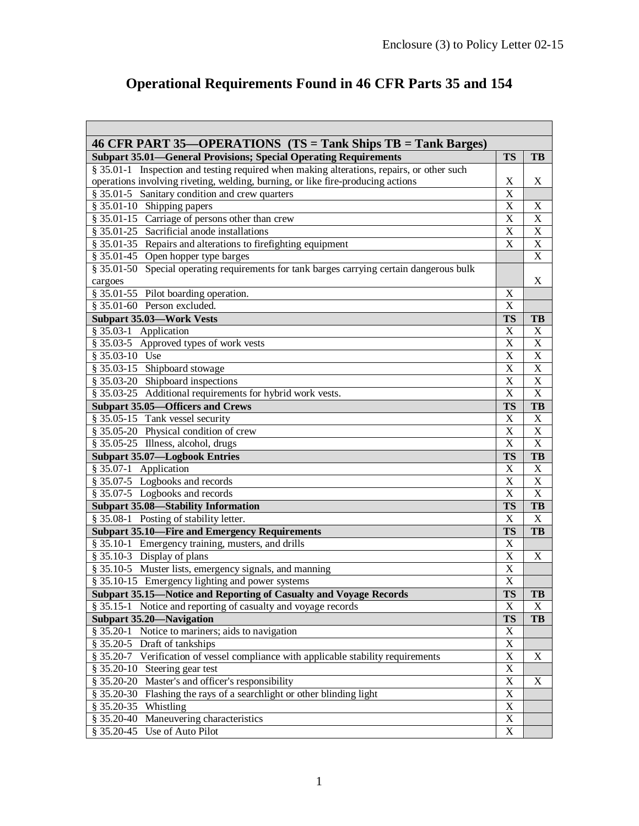$\overline{\phantom{0}}$ 

# **Operational Requirements Found in 46 CFR Parts 35 and 154**

| 46 CFR PART 35—OPERATIONS (TS = Tank Ships TB = Tank Barges)                              |                         |                |
|-------------------------------------------------------------------------------------------|-------------------------|----------------|
| <b>Subpart 35.01—General Provisions; Special Operating Requirements</b>                   | <b>TS</b>               | TB             |
| § 35.01-1 Inspection and testing required when making alterations, repairs, or other such |                         |                |
| operations involving riveting, welding, burning, or like fire-producing actions           | X                       | X              |
| § 35.01-5 Sanitary condition and crew quarters                                            | $\overline{X}$          |                |
| § 35.01-10 Shipping papers                                                                | $\overline{\text{X}}$   | X              |
| § 35.01-15 Carriage of persons other than crew                                            | $\overline{\text{X}}$   | X              |
| $§$ 35.01-25 Sacrificial anode installations                                              | $\overline{\text{X}}$   | $\mathbf X$    |
| § 35.01-35 Repairs and alterations to firefighting equipment                              | $\overline{X}$          | $\mathbf X$    |
| § 35.01-45 Open hopper type barges                                                        |                         | X              |
| § 35.01-50 Special operating requirements for tank barges carrying certain dangerous bulk |                         |                |
| cargoes                                                                                   |                         | X              |
| § 35.01-55 Pilot boarding operation.                                                      | X                       |                |
| $§$ 35.01-60 Person excluded.                                                             | $\overline{X}$          |                |
| <b>Subpart 35.03-Work Vests</b>                                                           | <b>TS</b>               | TB             |
| $§$ 35.03-1 Application                                                                   | $\overline{\text{X}}$   | X              |
| § 35.03-5 Approved types of work vests                                                    | $\overline{\text{X}}$   | X              |
| $$35.03-10$ Use                                                                           | $\overline{\text{X}}$   | X              |
| § 35.03-15 Shipboard stowage                                                              | $\overline{\text{X}}$   | X              |
| § 35.03-20 Shipboard inspections                                                          | $\overline{\text{X}}$   | X              |
| § 35.03-25 Additional requirements for hybrid work vests.                                 | $\overline{X}$          | $\overline{X}$ |
| <b>Subpart 35.05-Officers and Crews</b>                                                   | <b>TS</b>               | TB             |
| § 35.05-15 Tank vessel security                                                           | $\overline{\text{X}}$   | $\mathbf X$    |
| § 35.05-20 Physical condition of crew                                                     | $\overline{X}$          | $\mathbf X$    |
| § 35.05-25 Illness, alcohol, drugs                                                        | $\overline{X}$          | $\overline{X}$ |
| <b>Subpart 35.07-Logbook Entries</b>                                                      | <b>TS</b>               | TB             |
| $$35.07-1$ Application                                                                    | $\overline{\text{X}}$   | X              |
| § 35.07-5 Logbooks and records                                                            | X                       | X              |
| § 35.07-5 Logbooks and records                                                            | $\overline{\mathbf{X}}$ | $\mathbf X$    |
| <b>Subpart 35.08-Stability Information</b>                                                | <b>TS</b>               | TB             |
| § 35.08-1 Posting of stability letter.                                                    | $\overline{\mathbf{X}}$ | $\overline{X}$ |
| <b>Subpart 35.10-Fire and Emergency Requirements</b>                                      | <b>TS</b>               | TB             |
| § 35.10-1 Emergency training, musters, and drills                                         | $\overline{\text{X}}$   |                |
| § 35.10-3 Display of plans                                                                | $\overline{X}$          | $\mathbf X$    |
| § 35.10-5 Muster lists, emergency signals, and manning                                    | $\overline{X}$          |                |
| § 35.10-15 Emergency lighting and power systems                                           | $\overline{X}$          |                |
| Subpart 35.15-Notice and Reporting of Casualty and Voyage Records                         | <b>TS</b>               | TB             |
| § 35.15-1 Notice and reporting of casualty and voyage records                             | $\mathbf X$             | $\mathbf X$    |
| <b>Subpart 35.20-Navigation</b>                                                           | <b>TS</b>               | TB             |
| § 35.20-1 Notice to mariners; aids to navigation                                          | $\overline{\text{X}}$   |                |
| § 35.20-5 Draft of tankships                                                              | $\overline{X}$          |                |
| § 35.20-7 Verification of vessel compliance with applicable stability requirements        | $\overline{X}$          | X              |
| § 35.20-10 Steering gear test                                                             | $\overline{X}$          |                |
| § 35.20-20 Master's and officer's responsibility                                          | $\overline{X}$          | X              |
| § 35.20-30 Flashing the rays of a searchlight or other blinding light                     | $\overline{\text{X}}$   |                |
| § 35.20-35 Whistling                                                                      | $\overline{\text{X}}$   |                |
| § 35.20-40 Maneuvering characteristics                                                    | $\overline{\text{X}}$   |                |
| § 35.20-45 Use of Auto Pilot                                                              | $\mathbf X$             |                |
|                                                                                           |                         |                |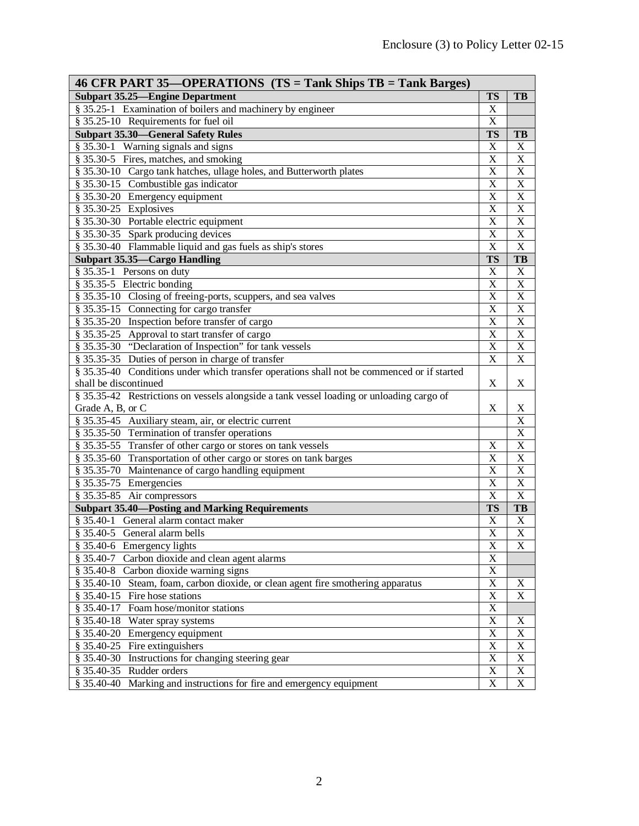| 46 CFR PART 35—OPERATIONS (TS = Tank Ships TB = Tank Barges)                               |                       |                |  |  |
|--------------------------------------------------------------------------------------------|-----------------------|----------------|--|--|
| <b>Subpart 35.25—Engine Department</b>                                                     | <b>TS</b>             | TB             |  |  |
| § 35.25-1 Examination of boilers and machinery by engineer                                 | X                     |                |  |  |
| § 35.25-10 Requirements for fuel oil                                                       | $\overline{\text{X}}$ |                |  |  |
| <b>Subpart 35.30-General Safety Rules</b>                                                  | <b>TS</b>             | TB             |  |  |
| § 35.30-1 Warning signals and signs                                                        | X                     | X              |  |  |
| § 35.30-5 Fires, matches, and smoking                                                      | X                     | $\mathbf X$    |  |  |
| § 35.30-10 Cargo tank hatches, ullage holes, and Butterworth plates                        | X                     | X              |  |  |
| § 35.30-15 Combustible gas indicator                                                       | X                     | X              |  |  |
| § 35.30-20 Emergency equipment                                                             | X                     | $\mathbf X$    |  |  |
| § 35.30-25 Explosives                                                                      | $\overline{\text{X}}$ | $\mathbf X$    |  |  |
| § 35.30-30 Portable electric equipment                                                     | $\overline{\text{X}}$ | $\overline{X}$ |  |  |
| § 35.30-35 Spark producing devices                                                         | $\overline{\text{X}}$ | $\overline{X}$ |  |  |
| § 35.30-40 Flammable liquid and gas fuels as ship's stores                                 | $\overline{\text{X}}$ | $\overline{X}$ |  |  |
| <b>Subpart 35.35-Cargo Handling</b>                                                        | <b>TS</b>             | TB             |  |  |
| § 35.35-1 Persons on duty                                                                  | X                     | X              |  |  |
| § 35.35-5 Electric bonding                                                                 | X                     | $\mathbf X$    |  |  |
| § 35.35-10 Closing of freeing-ports, scuppers, and sea valves                              | $\overline{\text{X}}$ | $\mathbf X$    |  |  |
| § 35.35-15 Connecting for cargo transfer                                                   | $\overline{\text{X}}$ | $\mathbf X$    |  |  |
| § 35.35-20 Inspection before transfer of cargo                                             | $\overline{\text{X}}$ | $\overline{X}$ |  |  |
| § 35.35-25 Approval to start transfer of cargo                                             | $\overline{\text{X}}$ | $\overline{X}$ |  |  |
| § 35.35-30 "Declaration of Inspection" for tank vessels                                    | X                     | $\mathbf X$    |  |  |
| § 35.35-35 Duties of person in charge of transfer                                          | X                     | X              |  |  |
| § 35.35-40 Conditions under which transfer operations shall not be commenced or if started |                       |                |  |  |
| shall be discontinued                                                                      | X                     | X              |  |  |
| § 35.35-42 Restrictions on vessels alongside a tank vessel loading or unloading cargo of   |                       |                |  |  |
| Grade A, B, or C                                                                           | X                     | X              |  |  |
| § 35.35-45 Auxiliary steam, air, or electric current                                       |                       | X              |  |  |
| § 35.35-50 Termination of transfer operations                                              |                       | X              |  |  |
| § 35.35-55 Transfer of other cargo or stores on tank vessels                               | X                     | X              |  |  |
| § 35.35-60 Transportation of other cargo or stores on tank barges                          | X                     | X              |  |  |
| § 35.35-70 Maintenance of cargo handling equipment                                         | X                     | X              |  |  |
| § 35.35-75 Emergencies                                                                     | $\overline{\text{X}}$ | X              |  |  |
| § 35.35-85 Air compressors                                                                 | $\overline{\text{X}}$ | X              |  |  |
| <b>Subpart 35.40—Posting and Marking Requirements</b>                                      | <b>TS</b>             | TB             |  |  |
| § 35.40-1 General alarm contact maker                                                      | X                     | X              |  |  |
| § 35.40-5 General alarm bells                                                              | $\overline{\text{X}}$ | $\mathbf X$    |  |  |
| $§$ 35.40-6 Emergency lights                                                               | X                     | X              |  |  |
| Carbon dioxide and clean agent alarms<br>$$35.40-7$                                        | X                     |                |  |  |
| § 35.40-8 Carbon dioxide warning signs                                                     | X                     |                |  |  |
| § 35.40-10 Steam, foam, carbon dioxide, or clean agent fire smothering apparatus           | $\overline{\text{X}}$ | X              |  |  |
| § 35.40-15 Fire hose stations                                                              | $\overline{\text{X}}$ | X              |  |  |
| § 35.40-17 Foam hose/monitor stations                                                      | $\overline{\text{X}}$ |                |  |  |
| § 35.40-18 Water spray systems                                                             | X                     | X              |  |  |
| § 35.40-20 Emergency equipment                                                             | X                     | X              |  |  |
| § 35.40-25 Fire extinguishers                                                              | X                     | X              |  |  |
| § 35.40-30 Instructions for changing steering gear                                         | X                     | X              |  |  |
| § 35.40-35 Rudder orders                                                                   | X                     | X              |  |  |
| $$35.40-40$<br>Marking and instructions for fire and emergency equipment                   | $\overline{\text{X}}$ | $\mathbf X$    |  |  |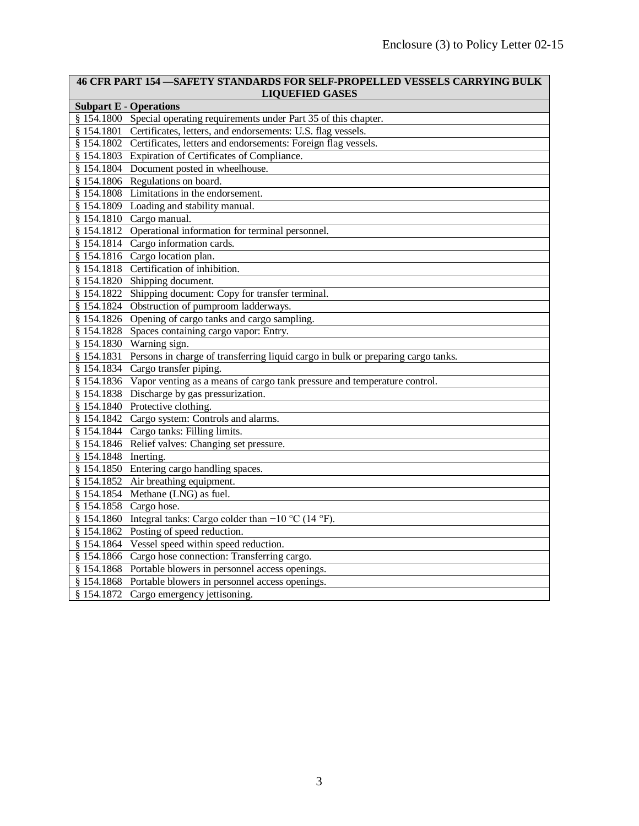| <b>46 CFR PART 154 - SAFETY STANDARDS FOR SELF-PROPELLED VESSELS CARRYING BULK</b><br><b>LIQUEFIED GASES</b> |  |  |  |  |
|--------------------------------------------------------------------------------------------------------------|--|--|--|--|
| <b>Subpart E - Operations</b>                                                                                |  |  |  |  |
| § 154.1800 Special operating requirements under Part 35 of this chapter.                                     |  |  |  |  |
| § 154.1801 Certificates, letters, and endorsements: U.S. flag vessels.                                       |  |  |  |  |
| § 154.1802 Certificates, letters and endorsements: Foreign flag vessels.                                     |  |  |  |  |
| § 154.1803 Expiration of Certificates of Compliance.                                                         |  |  |  |  |
| § 154.1804 Document posted in wheelhouse.                                                                    |  |  |  |  |
| § 154.1806 Regulations on board.                                                                             |  |  |  |  |
| § 154.1808 Limitations in the endorsement.                                                                   |  |  |  |  |
| § 154.1809 Loading and stability manual.                                                                     |  |  |  |  |
| § 154.1810 Cargo manual.                                                                                     |  |  |  |  |
| § 154.1812 Operational information for terminal personnel.                                                   |  |  |  |  |
| § 154.1814 Cargo information cards.                                                                          |  |  |  |  |
| § 154.1816 Cargo location plan.                                                                              |  |  |  |  |
| § 154.1818 Certification of inhibition.                                                                      |  |  |  |  |
| Shipping document.<br>\$154.1820                                                                             |  |  |  |  |
| Shipping document: Copy for transfer terminal.<br>\$154.1822                                                 |  |  |  |  |
| § 154.1824 Obstruction of pumproom ladderways.                                                               |  |  |  |  |
| § 154.1826 Opening of cargo tanks and cargo sampling.                                                        |  |  |  |  |
| § 154.1828 Spaces containing cargo vapor: Entry.                                                             |  |  |  |  |
| § 154.1830 Warning sign.                                                                                     |  |  |  |  |
| § 154.1831 Persons in charge of transferring liquid cargo in bulk or preparing cargo tanks.                  |  |  |  |  |
| § 154.1834 Cargo transfer piping.                                                                            |  |  |  |  |
| § 154.1836 Vapor venting as a means of cargo tank pressure and temperature control.                          |  |  |  |  |
| \$154.1838<br>Discharge by gas pressurization.                                                               |  |  |  |  |
| § 154.1840 Protective clothing.                                                                              |  |  |  |  |
| § 154.1842 Cargo system: Controls and alarms.                                                                |  |  |  |  |
| § 154.1844 Cargo tanks: Filling limits.                                                                      |  |  |  |  |
| § 154.1846 Relief valves: Changing set pressure.                                                             |  |  |  |  |
| § 154.1848 Inerting.                                                                                         |  |  |  |  |
| § 154.1850 Entering cargo handling spaces.                                                                   |  |  |  |  |
| § 154.1852 Air breathing equipment.                                                                          |  |  |  |  |
| $§$ 154.1854 Methane (LNG) as fuel.                                                                          |  |  |  |  |
| § 154.1858 Cargo hose.                                                                                       |  |  |  |  |
| § 154.1860 Integral tanks: Cargo colder than $-10$ °C (14 °F).                                               |  |  |  |  |
| § 154.1862 Posting of speed reduction.                                                                       |  |  |  |  |
| § 154.1864 Vessel speed within speed reduction.                                                              |  |  |  |  |
| Cargo hose connection: Transferring cargo.<br>\$154.1866                                                     |  |  |  |  |
| § 154.1868 Portable blowers in personnel access openings.                                                    |  |  |  |  |
| § 154.1868 Portable blowers in personnel access openings.                                                    |  |  |  |  |
| § 154.1872 Cargo emergency jettisoning.                                                                      |  |  |  |  |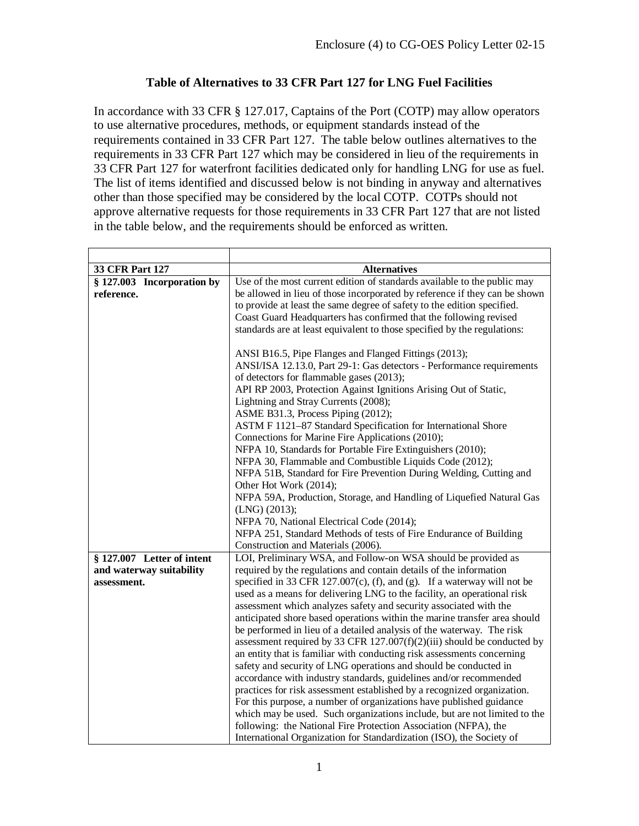## **Table of Alternatives to 33 CFR Part 127 for LNG Fuel Facilities**

In accordance with 33 CFR § 127.017, Captains of the Port (COTP) may allow operators to use alternative procedures, methods, or equipment standards instead of the requirements contained in 33 CFR Part 127. The table below outlines alternatives to the requirements in 33 CFR Part 127 which may be considered in lieu of the requirements in 33 CFR Part 127 for waterfront facilities dedicated only for handling LNG for use as fuel. The list of items identified and discussed below is not binding in anyway and alternatives other than those specified may be considered by the local COTP. COTPs should not approve alternative requests for those requirements in 33 CFR Part 127 that are not listed in the table below, and the requirements should be enforced as written.

| 33 CFR Part 127            | <b>Alternatives</b>                                                        |
|----------------------------|----------------------------------------------------------------------------|
| § 127.003 Incorporation by | Use of the most current edition of standards available to the public may   |
| reference.                 | be allowed in lieu of those incorporated by reference if they can be shown |
|                            | to provide at least the same degree of safety to the edition specified.    |
|                            | Coast Guard Headquarters has confirmed that the following revised          |
|                            | standards are at least equivalent to those specified by the regulations:   |
|                            | ANSI B16.5, Pipe Flanges and Flanged Fittings (2013);                      |
|                            | ANSI/ISA 12.13.0, Part 29-1: Gas detectors - Performance requirements      |
|                            | of detectors for flammable gases (2013);                                   |
|                            | API RP 2003, Protection Against Ignitions Arising Out of Static,           |
|                            | Lightning and Stray Currents (2008);                                       |
|                            | ASME B31.3, Process Piping (2012);                                         |
|                            | ASTM F 1121-87 Standard Specification for International Shore              |
|                            | Connections for Marine Fire Applications (2010);                           |
|                            | NFPA 10, Standards for Portable Fire Extinguishers (2010);                 |
|                            | NFPA 30, Flammable and Combustible Liquids Code (2012);                    |
|                            | NFPA 51B, Standard for Fire Prevention During Welding, Cutting and         |
|                            | Other Hot Work (2014);                                                     |
|                            | NFPA 59A, Production, Storage, and Handling of Liquefied Natural Gas       |
|                            | $(LNG)$ (2013);                                                            |
|                            | NFPA 70, National Electrical Code (2014);                                  |
|                            | NFPA 251, Standard Methods of tests of Fire Endurance of Building          |
|                            | Construction and Materials (2006).                                         |
| § 127.007 Letter of intent | LOI, Preliminary WSA, and Follow-on WSA should be provided as              |
| and waterway suitability   | required by the regulations and contain details of the information         |
| assessment.                | specified in 33 CFR 127.007(c), (f), and (g). If a waterway will not be    |
|                            | used as a means for delivering LNG to the facility, an operational risk    |
|                            | assessment which analyzes safety and security associated with the          |
|                            | anticipated shore based operations within the marine transfer area should  |
|                            | be performed in lieu of a detailed analysis of the waterway. The risk      |
|                            | assessment required by 33 CFR $127.007(f)(2)(iii)$ should be conducted by  |
|                            | an entity that is familiar with conducting risk assessments concerning     |
|                            | safety and security of LNG operations and should be conducted in           |
|                            | accordance with industry standards, guidelines and/or recommended          |
|                            | practices for risk assessment established by a recognized organization.    |
|                            | For this purpose, a number of organizations have published guidance        |
|                            | which may be used. Such organizations include, but are not limited to the  |
|                            | following: the National Fire Protection Association (NFPA), the            |
|                            | International Organization for Standardization (ISO), the Society of       |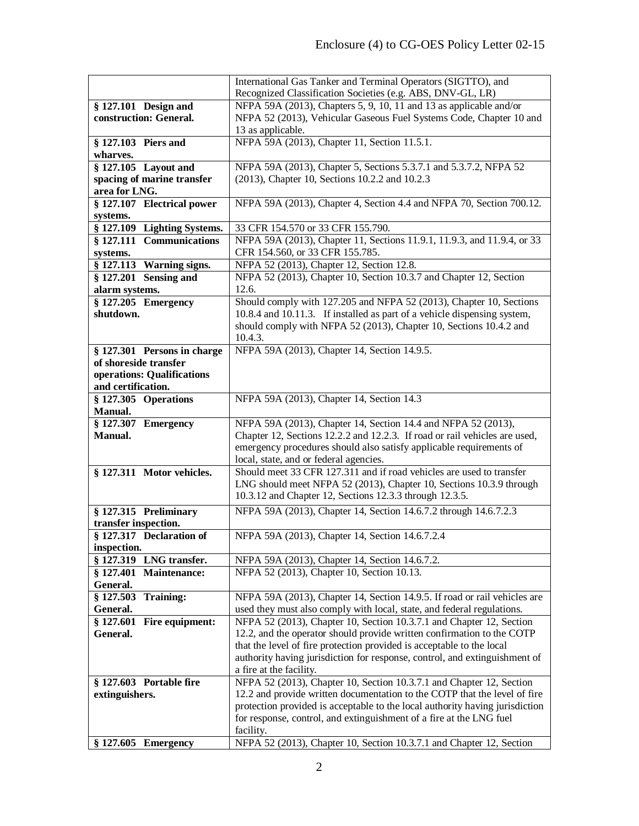|                                  | International Gas Tanker and Terminal Operators (SIGTTO), and                     |
|----------------------------------|-----------------------------------------------------------------------------------|
|                                  | Recognized Classification Societies (e.g. ABS, DNV-GL, LR)                        |
| § 127.101 Design and             | NFPA 59A (2013), Chapters 5, 9, 10, 11 and 13 as applicable and/or                |
| construction: General.           | NFPA 52 (2013), Vehicular Gaseous Fuel Systems Code, Chapter 10 and               |
|                                  | 13 as applicable.                                                                 |
| § 127.103 Piers and              | NFPA 59A (2013), Chapter 11, Section 11.5.1.                                      |
| wharves.                         |                                                                                   |
| § 127.105 Layout and             | NFPA 59A (2013), Chapter 5, Sections 5.3.7.1 and 5.3.7.2, NFPA 52                 |
| spacing of marine transfer       | (2013), Chapter 10, Sections 10.2.2 and 10.2.3                                    |
| area for LNG.                    |                                                                                   |
| § 127.107 Electrical power       | NFPA 59A (2013), Chapter 4, Section 4.4 and NFPA 70, Section 700.12.              |
| systems.                         |                                                                                   |
| § 127.109 Lighting Systems.      | 33 CFR 154.570 or 33 CFR 155.790.                                                 |
| § 127.111 Communications         | NFPA 59A (2013), Chapter 11, Sections 11.9.1, 11.9.3, and 11.9.4, or 33           |
| systems.                         | CFR 154.560, or 33 CFR 155.785.                                                   |
| § 127.113 Warning signs.         | NFPA 52 (2013), Chapter 12, Section 12.8.                                         |
| $§ 127.201$ Sensing and          | NFPA 52 (2013), Chapter 10, Section 10.3.7 and Chapter 12, Section                |
| alarm systems.                   | 12.6.                                                                             |
| $§ 127.205$ Emergency            | Should comply with 127.205 and NFPA 52 (2013), Chapter 10, Sections               |
| shutdown.                        | 10.8.4 and 10.11.3. If installed as part of a vehicle dispensing system,          |
|                                  | should comply with NFPA 52 (2013), Chapter 10, Sections 10.4.2 and                |
|                                  | 10.4.3.                                                                           |
| $§ 127.301$ Persons in charge    | NFPA 59A (2013), Chapter 14, Section 14.9.5.                                      |
| of shoreside transfer            |                                                                                   |
| operations: Qualifications       |                                                                                   |
| and certification.               |                                                                                   |
| § 127.305 Operations             | NFPA 59A (2013), Chapter 14, Section 14.3                                         |
| <b>Manual.</b>                   |                                                                                   |
| § 127.307 Emergency              | NFPA 59A (2013), Chapter 14, Section 14.4 and NFPA 52 (2013),                     |
| Manual.                          | Chapter 12, Sections 12.2.2 and 12.2.3. If road or rail vehicles are used,        |
|                                  | emergency procedures should also satisfy applicable requirements of               |
|                                  | local, state, and or federal agencies.                                            |
| § 127.311 Motor vehicles.        | Should meet 33 CFR 127.311 and if road vehicles are used to transfer              |
|                                  | LNG should meet NFPA 52 (2013), Chapter 10, Sections 10.3.9 through               |
|                                  | 10.3.12 and Chapter 12, Sections 12.3.3 through 12.3.5.                           |
| § 127.315 Preliminary            | NFPA 59A (2013), Chapter 14, Section 14.6.7.2 through 14.6.7.2.3                  |
| transfer inspection.             |                                                                                   |
| § 127.317 Declaration of         | NFPA 59A (2013), Chapter 14, Section 14.6.7.2.4                                   |
| inspection.                      |                                                                                   |
| § 127.319<br>LNG transfer.       | NFPA 59A (2013), Chapter 14, Section 14.6.7.2.                                    |
| \$127.401<br><b>Maintenance:</b> | NFPA 52 (2013), Chapter 10, Section 10.13.                                        |
| General.                         |                                                                                   |
| \$127.503<br><b>Training:</b>    | NFPA 59A (2013), Chapter 14, Section 14.9.5. If road or rail vehicles are         |
| General.                         | used they must also comply with local, state, and federal regulations.            |
| \$127.601<br>Fire equipment:     | NFPA 52 (2013), Chapter 10, Section 10.3.7.1 and Chapter 12, Section              |
| General.                         | 12.2, and the operator should provide written confirmation to the COTP            |
|                                  | that the level of fire protection provided is acceptable to the local             |
|                                  | authority having jurisdiction for response, control, and extinguishment of        |
|                                  | a fire at the facility.                                                           |
| § 127.603 Portable fire          | NFPA 52 (2013), Chapter 10, Section 10.3.7.1 and Chapter 12, Section              |
| extinguishers.                   | 12.2 and provide written documentation to the COTP that the level of fire         |
|                                  | protection provided is acceptable to the local authority having jurisdiction      |
|                                  | for response, control, and extinguishment of a fire at the LNG fuel               |
| § 127.605 Emergency              | facility.<br>NFPA 52 (2013), Chapter 10, Section 10.3.7.1 and Chapter 12, Section |
|                                  |                                                                                   |